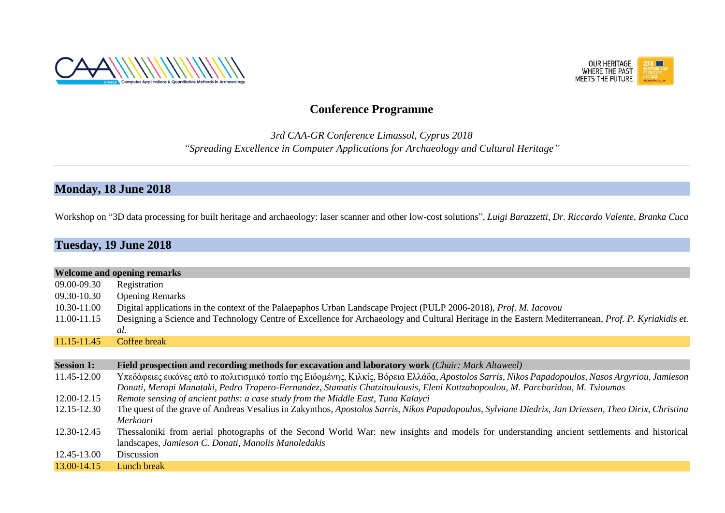



## **Conference Programme**

*3rd CAA-GR Conference Limassol, Cyprus 2018 "Spreading Excellence in Computer Applications for Archaeology and Cultural Heritage"*

### **Monday, 18 June 2018**

Workshop on "3D data processing for built heritage and archaeology: laser scanner and other low-cost solutions", *Luigi Barazzetti, Dr. Riccardo Valente, Branka Cuca*

## **Tuesday, 19 June 2018**

|                   | <b>Welcome and opening remarks</b>                                                                                                                                                                                                                                                |
|-------------------|-----------------------------------------------------------------------------------------------------------------------------------------------------------------------------------------------------------------------------------------------------------------------------------|
| 09.00-09.30       | Registration                                                                                                                                                                                                                                                                      |
| 09.30-10.30       | <b>Opening Remarks</b>                                                                                                                                                                                                                                                            |
| 10.30-11.00       | Digital applications in the context of the Palaepaphos Urban Landscape Project (PULP 2006-2018), <i>Prof. M. Iacovou</i>                                                                                                                                                          |
| 11.00-11.15       | Designing a Science and Technology Centre of Excellence for Archaeology and Cultural Heritage in the Eastern Mediterranean, <i>Prof. P. Kyriakidis et.</i>                                                                                                                        |
|                   | al.                                                                                                                                                                                                                                                                               |
| 11.15-11.45       | Coffee break                                                                                                                                                                                                                                                                      |
|                   |                                                                                                                                                                                                                                                                                   |
| <b>Session 1:</b> | <b>Field prospection and recording methods for excavation and laboratory work (Chair: Mark Altaweel)</b>                                                                                                                                                                          |
| 11.45-12.00       | Υπεδάφειες εικόνες από το πολιτισμικό τοπίο της Ειδομένης, Κιλκίς, Βόρεια Ελλάδα, Apostolos Sarris, Nikos Papadopoulos, Nasos Argyriou, Jamieson<br>Donati, Meropi Manataki, Pedro Trapero-Fernandez, Stamatis Chatzitoulousis, Eleni Kottzabopoulou, M. Parcharidou, M. Tsioumas |
| 12.00-12.15       | Remote sensing of ancient paths: a case study from the Middle East, Tuna Kalayci                                                                                                                                                                                                  |
| 12.15-12.30       | The quest of the grave of Andreas Vesalius in Zakynthos, Apostolos Sarris, Nikos Papadopoulos, Sylviane Diedrix, Jan Driessen, Theo Dirix, Christina<br>Merkouri                                                                                                                  |
| 12.30-12.45       | Thessaloniki from aerial photographs of the Second World War: new insights and models for understanding ancient settlements and historical<br>landscapes, Jamieson C. Donati, Manolis Manoledakis                                                                                 |
| 12.45-13.00       | Discussion                                                                                                                                                                                                                                                                        |
| 13.00-14.15       | Lunch break                                                                                                                                                                                                                                                                       |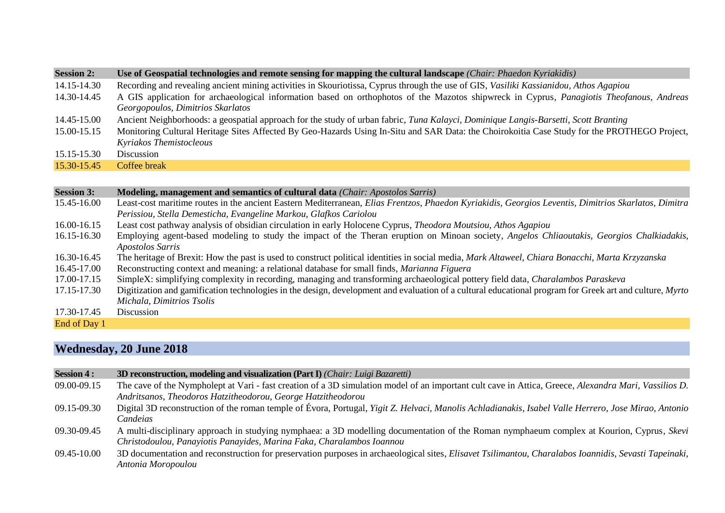| <b>Session 2:</b> | Use of Geospatial technologies and remote sensing for mapping the cultural landscape (Chair: Phaedon Kyriakidis)                                                                                                          |
|-------------------|---------------------------------------------------------------------------------------------------------------------------------------------------------------------------------------------------------------------------|
| 14.15-14.30       | Recording and revealing ancient mining activities in Skouriotissa, Cyprus through the use of GIS, Vasiliki Kassianidou, Athos Agapiou                                                                                     |
| 14.30-14.45       | A GIS application for archaeological information based on orthophotos of the Mazotos shipwreck in Cyprus, Panagiotis Theofanous, Andreas<br>Georgopoulos, Dimitrios Skarlatos                                             |
| 14.45-15.00       | Ancient Neighborhoods: a geospatial approach for the study of urban fabric, Tuna Kalayci, Dominique Langis-Barsetti, Scott Branting                                                                                       |
| 15.00-15.15       | Monitoring Cultural Heritage Sites Affected By Geo-Hazards Using In-Situ and SAR Data: the Choirokoitia Case Study for the PROTHEGO Project,<br>Kyriakos Themistocleous                                                   |
| 15.15-15.30       | Discussion                                                                                                                                                                                                                |
| 15.30-15.45       | Coffee break                                                                                                                                                                                                              |
|                   |                                                                                                                                                                                                                           |
|                   |                                                                                                                                                                                                                           |
| <b>Session 3:</b> | <b>Modeling, management and semantics of cultural data</b> ( <i>Chair: Apostolos Sarris</i> )                                                                                                                             |
| 15.45-16.00       | Least-cost maritime routes in the ancient Eastern Mediterranean, Elias Frentzos, Phaedon Kyriakidis, Georgios Leventis, Dimitrios Skarlatos, Dimitra<br>Perissiou, Stella Demesticha, Evangeline Markou, Glafkos Cariolou |
| 16.00-16.15       | Least cost pathway analysis of obsidian circulation in early Holocene Cyprus, <i>Theodora Moutsiou</i> , <i>Athos Agapiou</i>                                                                                             |
| 16.15-16.30       | Employing agent-based modeling to study the impact of the Theran eruption on Minoan society, Angelos Chliaoutakis, Georgios Chalkiadakis,<br>Apostolos Sarris                                                             |
| 16.30-16.45       | The heritage of Brexit: How the past is used to construct political identities in social media, Mark Altaweel, Chiara Bonacchi, Marta Krzyzanska                                                                          |
| 16.45-17.00       | Reconstructing context and meaning: a relational database for small finds, <i>Marianna Figuera</i>                                                                                                                        |
| 17.00-17.15       | SimpleX: simplifying complexity in recording, managing and transforming archaeological pottery field data, <i>Charalambos Paraskeva</i>                                                                                   |

- *Michala, Dimitrios Tsolis*
- 17.30-17.45

End of Day 1

# **Wednesday, 20 June 2018**

| <b>Session 4:</b> | 3D reconstruction, modeling and visualization (Part I) (Chair: Luigi Bazaretti)                                                                                                                                       |
|-------------------|-----------------------------------------------------------------------------------------------------------------------------------------------------------------------------------------------------------------------|
| 09.00-09.15       | The cave of the Nympholept at Vari - fast creation of a 3D simulation model of an important cult cave in Attica, Greece, Alexandra Mari, Vassilios D.<br>Andritsanos, Theodoros Hatzitheodorou, George Hatzitheodorou |
| 09.15-09.30       | Digital 3D reconstruction of the roman temple of Évora, Portugal, Yigit Z. Helvaci, Manolis Achladianakis, Isabel Valle Herrero, Jose Mirao, Antonio<br>Candeias                                                      |
| 09.30-09.45       | A multi-disciplinary approach in studying nymphaea: a 3D modelling documentation of the Roman nymphaeum complex at Kourion, Cyprus, Skevi<br>Christodoulou, Panayiotis Panayides, Marina Faka, Charalambos Ioannou    |
| 09.45-10.00       | 3D documentation and reconstruction for preservation purposes in archaeological sites, <i>Elisavet Tsilimantou</i> , <i>Charalabos Ioannidis</i> , <i>Sevasti Tapeinaki</i> ,<br>Antonia Moropoulou                   |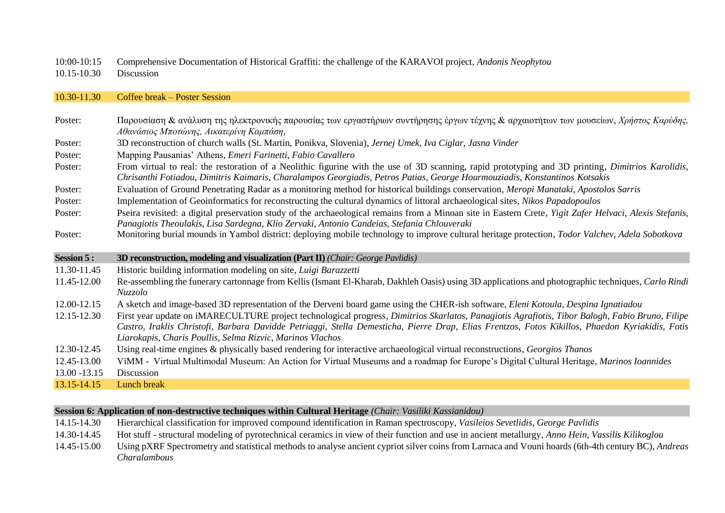10:00-10:15 Comprehensive Documentation of Historical Graffiti: the challenge of the KARAVOI project, *Andonis Neophytou*

10.15-10.30 Discussion

### 10.30-11.30 Coffee break – Poster Session

| Poster:           | Παρουσίαση & ανάλυση της ηλεκτρονικής παρουσίας των εργαστήριων συντήρησης έργων τέχνης & αρχαιοτήτων των μουσείων, Χρήστος Καρύδης,<br>Αθανάσιος Μποτώνης, Αικατερίνη Καμπάση,                                                                                                                                                                                 |
|-------------------|-----------------------------------------------------------------------------------------------------------------------------------------------------------------------------------------------------------------------------------------------------------------------------------------------------------------------------------------------------------------|
| Poster:           | 3D reconstruction of church walls (St. Martin, Ponikva, Slovenia), Jernej Umek, Iva Ciglar, Jasna Vinder                                                                                                                                                                                                                                                        |
| Poster:           | Mapping Pausanias' Athens, Emeri Farinetti, Fabio Cavallero                                                                                                                                                                                                                                                                                                     |
| Poster:           | From virtual to real: the restoration of a Neolithic figurine with the use of 3D scanning, rapid prototyping and 3D printing, Dimitrios Karolidis,<br>Chrisanthi Fotiadou, Dimitris Kaimaris, Charalampos Georgiadis, Petros Patias, George Hourmouziadis, Konstantinos Kotsakis                                                                                |
| Poster:           | Evaluation of Ground Penetrating Radar as a monitoring method for historical buildings conservation, Meropi Manataki, Apostolos Sarris                                                                                                                                                                                                                          |
| Poster:           | Implementation of Geoinformatics for reconstructing the cultural dynamics of littoral archaeological sites, Nikos Papadopoulos                                                                                                                                                                                                                                  |
| Poster:           | Pseira revisited: a digital preservation study of the archaeological remains from a Minoan site in Eastern Crete, Yigit Zafer Helvaci, Alexis Stefanis,<br>Panagiotis Theoulakis, Lisa Sardegna, Klio Zervaki, Antonio Candeias, Stefania Chlouveraki                                                                                                           |
| Poster:           | Monitoring burial mounds in Yambol district: deploying mobile technology to improve cultural heritage protection, Todor Valchev, Adela Sobotkova                                                                                                                                                                                                                |
|                   |                                                                                                                                                                                                                                                                                                                                                                 |
| <b>Session 5:</b> | 3D reconstruction, modeling and visualization (Part $\Pi$ ) (Chair: George Pavlidis)                                                                                                                                                                                                                                                                            |
| 11.30-11.45       | Historic building information modeling on site, Luigi Barazzetti                                                                                                                                                                                                                                                                                                |
| 11.45-12.00       | Re-assembling the funerary cartonnage from Kellis (Ismant El-Kharab, Dakhleh Oasis) using 3D applications and photographic techniques, <i>Carlo Rindi</i><br>Nuzzolo                                                                                                                                                                                            |
| 12.00-12.15       | A sketch and image-based 3D representation of the Derveni board game using the CHER-ish software, Eleni Kotoula, Despina Ignatiadou                                                                                                                                                                                                                             |
| 12.15-12.30       | First year update on iMARECULTURE project technological progress, Dimitrios Skarlatos, Panagiotis Agrafiotis, Tibor Balogh, Fabio Bruno, Filipe<br>Castro, Iraklis Christofi, Barbara Davidde Petriaggi, Stella Demesticha, Pierre Drap, Elias Frentzos, Fotos Kikillos, Phaedon Kyriakidis, Fotis<br>Liarokapis, Charis Poullis, Selma Rizvic, Marinos Vlachos |
| 12.30-12.45       | Using real-time engines & physically based rendering for interactive archaeological virtual reconstructions, Georgios Thanos                                                                                                                                                                                                                                    |
| 12.45-13.00       | ViMM - Virtual Multimodal Museum: An Action for Virtual Museums and a roadmap for Europe's Digital Cultural Heritage, Marinos Ioannides                                                                                                                                                                                                                         |
| 13.00 - 13.15     | Discussion                                                                                                                                                                                                                                                                                                                                                      |

### **Session 6: Application of non-destructive techniques within Cultural Heritage** *(Chair: Vasiliki Kassianidou)*

- 14.15-14.30 Hierarchical classification for improved compound identification in Raman spectroscopy, *Vasileios Sevetlidis, George Pavlidis*
- 14.30-14.45 Hot stuff structural modeling of pyrotechnical ceramics in view of their function and use in ancient metallurgy, *Anno Hein, Vassilis Kilikoglou*
- 14.45-15.00 Using pXRF Spectrometry and statistical methods to analyse ancient cypriot silver coins from Larnaca and Vouni hoards (6th-4th century BC), *Andreas Charalambous*